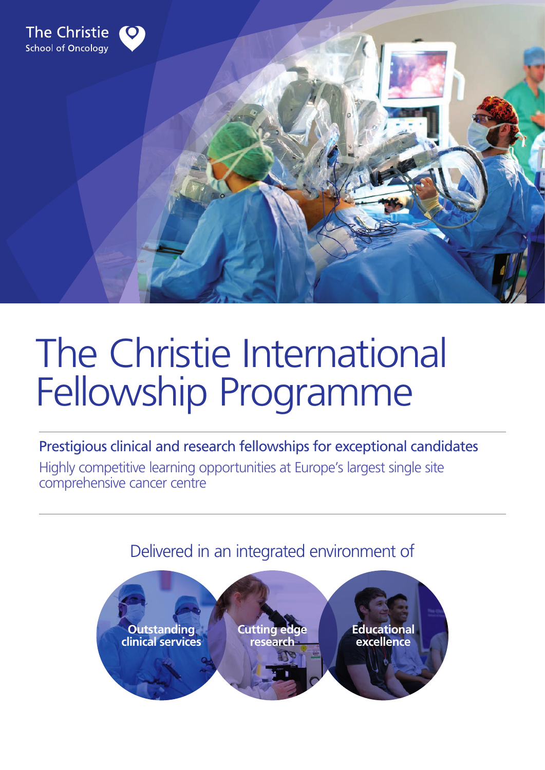

# The Christie International Fellowship Programme

Prestigious clinical and research fellowships for exceptional candidates

Highly competitive learning opportunities at Europe's largest single site comprehensive cancer centre

Delivered in an integrated environment of

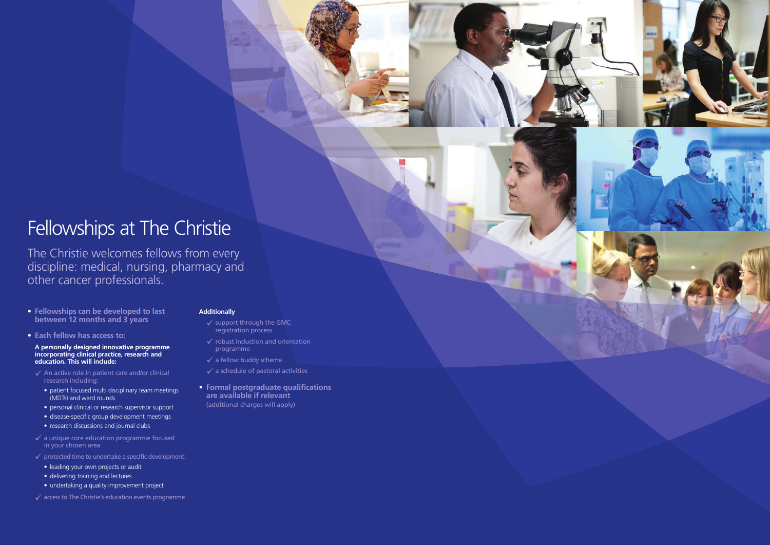## Fellowships at The Christie

The Christie welcomes fellows from every discipline: medical, nursing, pharmacy and other cancer professionals.

- **Fellowships can be developed to last between 12 months and 3 years**
- **• Each fellow has access to:**

**A personally designed innovative programme incorporating clinical practice, research and education. This will include:**

- $\checkmark$  An active role in patient care and/or clinical research including:
	- patient focused multi disciplinary team meetings (MDTs) and ward rounds
	- personal clinical or research supervisor support
	- disease-specific group development meetings
	- research discussions and journal clubs
- $\checkmark$  a unique core education programme focused in your chosen area
- $\checkmark$  protected time to undertake a specific development:
	- leading your own projects or audit
	- delivering training and lectures
	- undertaking a quality improvement project
- $\checkmark$  access to The Christie's education events programme
- $\checkmark$  support through the GMC registration process
- $\checkmark$  robust induction and orientation programme
- $\checkmark$  a fellow buddy scheme
- $\checkmark$  a schedule of pastoral activities
- **Formal postgraduate qualifications are available if relevant** (additional charges will apply)



#### **Additionally**